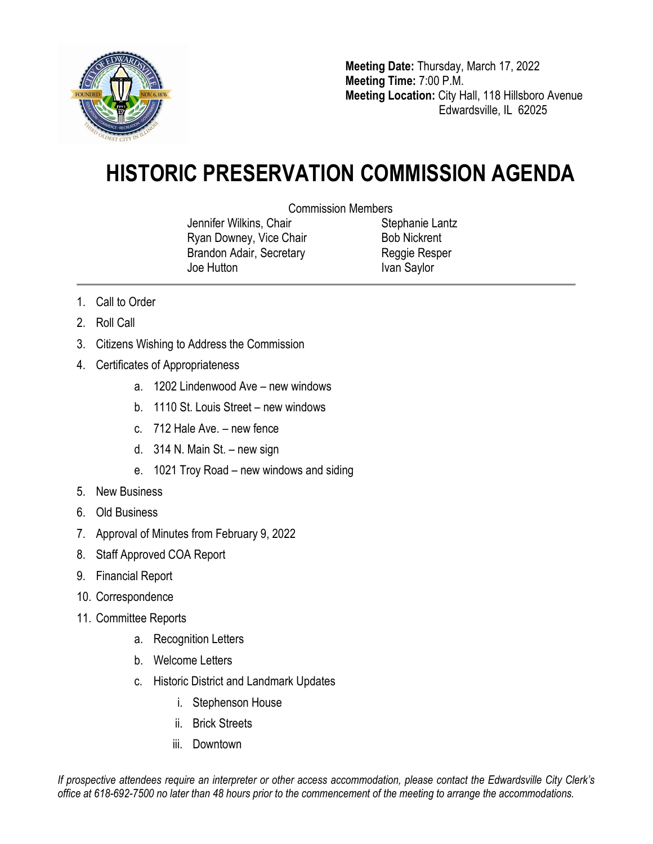

**Meeting Date:** Thursday, March 17, 2022 **Meeting Time:** 7:00 P.M. **Meeting Location:** City Hall, 118 Hillsboro Avenue Edwardsville, IL 62025

## **HISTORIC PRESERVATION COMMISSION AGENDA**

Commission Members

Jennifer Wilkins, Chair Ryan Downey, Vice Chair Brandon Adair, Secretary Joe Hutton

Stephanie Lantz Bob Nickrent Reggie Resper Ivan Saylor

- 1. Call to Order
- 2. Roll Call
- 3. Citizens Wishing to Address the Commission
- 4. Certificates of Appropriateness
	- a. 1202 Lindenwood Ave new windows
	- b. 1110 St. Louis Street new windows
	- c. 712 Hale Ave. new fence
	- d. 314 N. Main St. new sign
	- e. 1021 Troy Road new windows and siding
- 5. New Business
- 6. Old Business
- 7. Approval of Minutes from February 9, 2022
- 8. Staff Approved COA Report
- 9. Financial Report
- 10. Correspondence
- 11. Committee Reports
	- a. Recognition Letters
	- b. Welcome Letters
	- c. Historic District and Landmark Updates
		- i. Stephenson House
		- ii. Brick Streets
		- iii. Downtown

*If prospective attendees require an interpreter or other access accommodation, please contact the Edwardsville City Clerk's office at 618-692-7500 no later than 48 hours prior to the commencement of the meeting to arrange the accommodations.*